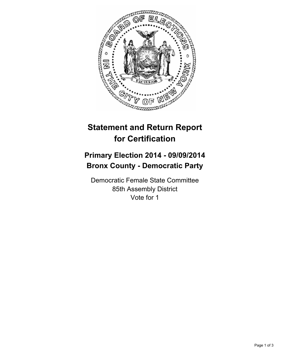

## **Statement and Return Report for Certification**

## **Primary Election 2014 - 09/09/2014 Bronx County - Democratic Party**

Democratic Female State Committee 85th Assembly District Vote for 1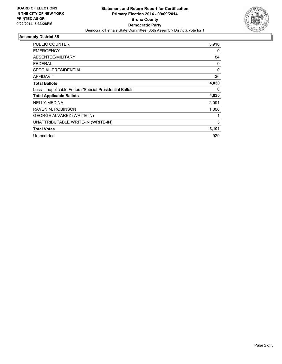

## **Assembly District 85**

| PUBLIC COUNTER                                           | 3,910 |
|----------------------------------------------------------|-------|
| <b>EMERGENCY</b>                                         | 0     |
| ABSENTEE/MILITARY                                        | 84    |
| <b>FEDERAL</b>                                           | 0     |
| <b>SPECIAL PRESIDENTIAL</b>                              | 0     |
| <b>AFFIDAVIT</b>                                         | 36    |
| <b>Total Ballots</b>                                     | 4,030 |
| Less - Inapplicable Federal/Special Presidential Ballots | 0     |
| <b>Total Applicable Ballots</b>                          | 4,030 |
| <b>NELLY MEDINA</b>                                      | 2,091 |
| RAVEN M. ROBINSON                                        | 1,006 |
| <b>GEORGE ALVAREZ (WRITE-IN)</b>                         |       |
| UNATTRIBUTABLE WRITE-IN (WRITE-IN)                       | 3     |
| <b>Total Votes</b>                                       | 3,101 |
| Unrecorded                                               | 929   |